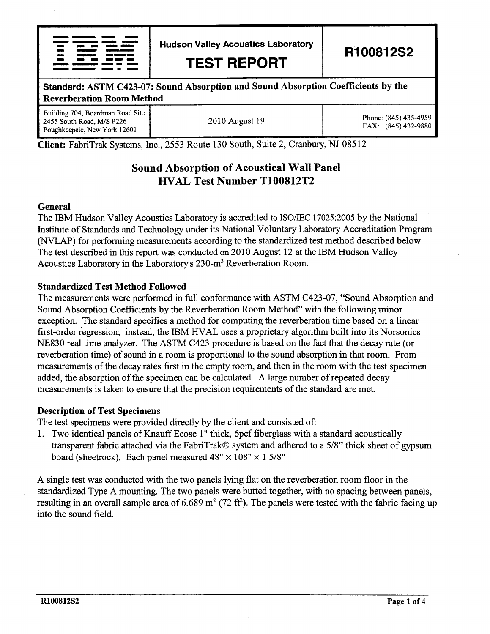|        | مالسيون والسمع والمستحدثات متسننن                                                                                                                                                                                                    |  |
|--------|--------------------------------------------------------------------------------------------------------------------------------------------------------------------------------------------------------------------------------------|--|
|        | <u>the company control the company of the company of the company of the company of the company of the company of the company of the company of the company of the company of the company of the company of the company of the co</u> |  |
|        | and animality considerable                                                                                                                                                                                                           |  |
| $\sim$ | and a support of the second contract of the second contract of the second contract of the second contract of the                                                                                                                     |  |
| -      | ________________                                                                                                                                                                                                                     |  |
|        | and the component and an international                                                                                                                                                                                               |  |
|        |                                                                                                                                                                                                                                      |  |
|        |                                                                                                                                                                                                                                      |  |

Hudson Valley Acoustics Laboratory

TEST REPORT

R100812S2

# -- Standard: ASTM C423-07: Sound Absorption and Sound Absorption Coefficients by the Reverberation Room Method

Building 704, Boardman Road Site 2455 South Road, M/S P226 Poughkeepsie, New York 12601

2010 August 19 Phone: (845) 435-4959 FAX: (845) 432-9880

Client: FabriTrak Systems, tnc.,2553 Route 130 South, Suite 2, Cranbury, NJ 08512

## Sound Absorption of Acoustical Wall Panel HVAL Test Number T100812T2

#### General

The IBM Hudson Valley Acoustics Laboratory is accredited to ISO/IEC 17025:2005 by the National Institute of Standards and Technology under its National Voluntary Laboratory Accreditation Program (NVLAP) for performing measurements according to the standardized test method described below. The test described in this report was conducted on 2010 August 12 at the IBM Hudson Valley Acoustics Laboratory in the Laboratory's 230-m3 Reverberation Room.

#### Standardized Test Method Followed

The measurements were performed in fuIl conformance with ASTM C423-07, "Sound Absorption and Sound Absorption Coefficients by the Reverberation Room Method" with the following minor exception. The standard specifies a method for computing the reverberation time based on a linear first-order regression; instead, the IBM HVAL uses a proprietary algorithm built into its Norsonics NE830 real time analyzer. The ASTM C423 procedure is based on the fact that the decay rate (or reverberation time) of sound in a room is proportional to the sound absorption in that room. From measurements of the decay rates first in the empty room, and then in the room with the test specimen added, the absorption of the specimen can be calculated. A large number of repeated decay measurements is taken to ensure that the precision requirements of the standard are met.

#### Description of Test Specimens

The test specimens were provided directly by the client and consisted of:

1. Two identical panels of Knauff Ecose 1" thick, 6pcf fiberglass with a standard acoustically transparent fabric attached via the FabriTrak@ system and adhered to a 5/8" thick sheet of gypsum board (sheetrock). Each panel measured  $48" \times 108" \times 15/8"$ 

A single test was conducted with the two panels lying flat on the reverberation room floor in the standardized Type A mounting. The two panels were butted together, with no spacing between panels, resulting in an overall sample area of 6.689 m<sup>2</sup> (72 ft<sup>2</sup>). The panels were tested with the fabric facing up into the sound field.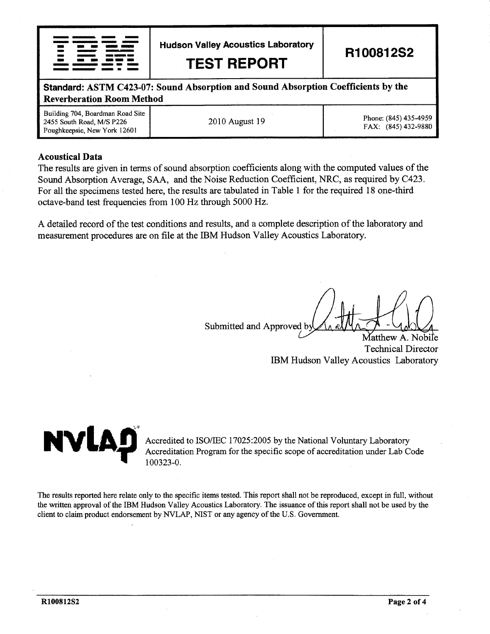

**Hudson Valley Acoustics Laboratory** 

**TEST REPORT** 

R100812S2

Standard: ASTM C423-07: Sound Absorption and Sound Absorption Coefficients by the **Reverberation Room Method** 

| Building 704, Boardman Road Site<br>2455 South Road, M/S P226<br>Poughkeepsie, New York 12601 | 2010 August 19 | Phone: (845) 435-4959<br>FAX: (845) 432-9880 |
|-----------------------------------------------------------------------------------------------|----------------|----------------------------------------------|
|-----------------------------------------------------------------------------------------------|----------------|----------------------------------------------|

#### **Acoustical Data**

The results are given in terms of sound absorption coefficients along with the computed values of the Sound Absorption Average, SAA, and the Noise Reduction Coefficient, NRC, as required by C423. For all the specimens tested here, the results are tabulated in Table 1 for the required 18 one-third octave-band test frequencies from 100 Hz through 5000 Hz.

A detailed record of the test conditions and results, and a complete description of the laboratory and measurement procedures are on file at the IBM Hudson Valley Acoustics Laboratory.

Submitted and Approved by

Matthew A. Nobile **Technical Director** IBM Hudson Valley Acoustics Laboratory



Accredited to ISO/IEC 17025:2005 by the National Voluntary Laboratory Accreditation Program for the specific scope of accreditation under Lab Code 100323-0.

The results reported here relate only to the specific items tested. This report shall not be reproduced, except in full, without the written approval of the IBM Hudson Valley Acoustics Laboratory. The issuance of this report shall not be used by the client to claim product endorsement by NVLAP, NIST or any agency of the U.S. Government.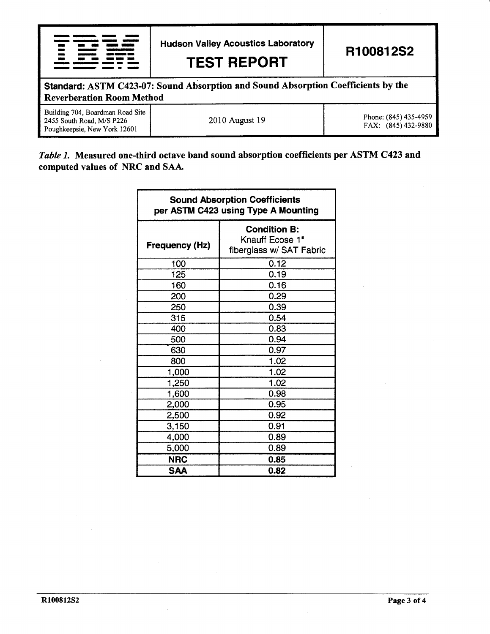|                                                                                                                       | <b>Hudson Valley Acoustics Laboratory</b><br><b>TEST REPORT</b> | R100812S2                                    |  |  |  |
|-----------------------------------------------------------------------------------------------------------------------|-----------------------------------------------------------------|----------------------------------------------|--|--|--|
| Standard: ASTM C423-07: Sound Absorption and Sound Absorption Coefficients by the<br><b>Reverberation Room Method</b> |                                                                 |                                              |  |  |  |
| Building 704, Boardman Road Site<br>2455 South Road, M/S P226<br>Poughkeepsie, New York 12601                         | 2010 August 19                                                  | Phone: (845) 435-4959<br>FAX: (845) 432-9880 |  |  |  |

### Table 1. Measured one-third octave band sound absorption coefficients per ASTM C423 and computed values of NRC and SAA.

| <b>Sound Absorption Coefficients</b><br>per ASTM C423 using Type A Mounting |                                                                    |  |  |  |
|-----------------------------------------------------------------------------|--------------------------------------------------------------------|--|--|--|
| Frequency (Hz)                                                              | <b>Condition B:</b><br>Knauff Ecose 1"<br>fiberglass w/ SAT Fabric |  |  |  |
| 100                                                                         | 0.12                                                               |  |  |  |
| 125                                                                         | 0.19                                                               |  |  |  |
| 160                                                                         | 0.16                                                               |  |  |  |
| 200                                                                         | 0.29                                                               |  |  |  |
| 250                                                                         | 0.39                                                               |  |  |  |
| 315                                                                         | 0.54                                                               |  |  |  |
| 400                                                                         | 0.83                                                               |  |  |  |
| 500                                                                         | 0.94                                                               |  |  |  |
| 630                                                                         | 0.97                                                               |  |  |  |
| 800                                                                         | 1.02                                                               |  |  |  |
| 1,000                                                                       | 1.02                                                               |  |  |  |
| 1,250                                                                       | 1.02                                                               |  |  |  |
| 1,600                                                                       | 0.98                                                               |  |  |  |
| 2,000                                                                       | 0.95                                                               |  |  |  |
| 2,500                                                                       | 0.92                                                               |  |  |  |
| 3,150                                                                       | 0.91                                                               |  |  |  |
| 4,000                                                                       | 0.89                                                               |  |  |  |
| 5,000                                                                       | 0.89                                                               |  |  |  |
| <b>NRC</b>                                                                  | 0.85                                                               |  |  |  |
| <b>SAA</b>                                                                  | 0.82                                                               |  |  |  |